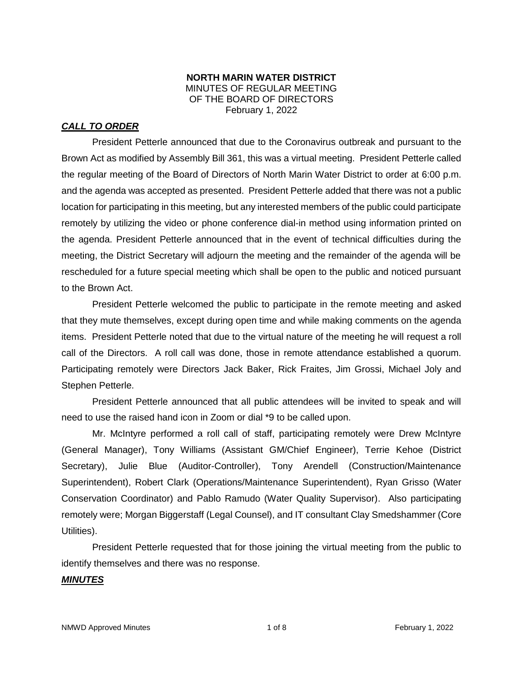#### **NORTH MARIN WATER DISTRICT** MINUTES OF REGULAR MEETING OF THE BOARD OF DIRECTORS February 1, 2022

## *CALL TO ORDER*

President Petterle announced that due to the Coronavirus outbreak and pursuant to the Brown Act as modified by Assembly Bill 361, this was a virtual meeting. President Petterle called the regular meeting of the Board of Directors of North Marin Water District to order at 6:00 p.m. and the agenda was accepted as presented. President Petterle added that there was not a public location for participating in this meeting, but any interested members of the public could participate remotely by utilizing the video or phone conference dial-in method using information printed on the agenda. President Petterle announced that in the event of technical difficulties during the meeting, the District Secretary will adjourn the meeting and the remainder of the agenda will be rescheduled for a future special meeting which shall be open to the public and noticed pursuant to the Brown Act.

President Petterle welcomed the public to participate in the remote meeting and asked that they mute themselves, except during open time and while making comments on the agenda items. President Petterle noted that due to the virtual nature of the meeting he will request a roll call of the Directors. A roll call was done, those in remote attendance established a quorum. Participating remotely were Directors Jack Baker, Rick Fraites, Jim Grossi, Michael Joly and Stephen Petterle.

President Petterle announced that all public attendees will be invited to speak and will need to use the raised hand icon in Zoom or dial \*9 to be called upon.

Mr. McIntyre performed a roll call of staff, participating remotely were Drew McIntyre (General Manager), Tony Williams (Assistant GM/Chief Engineer), Terrie Kehoe (District Secretary), Julie Blue (Auditor-Controller), Tony Arendell (Construction/Maintenance Superintendent), Robert Clark (Operations/Maintenance Superintendent), Ryan Grisso (Water Conservation Coordinator) and Pablo Ramudo (Water Quality Supervisor). Also participating remotely were; Morgan Biggerstaff (Legal Counsel), and IT consultant Clay Smedshammer (Core Utilities).

President Petterle requested that for those joining the virtual meeting from the public to identify themselves and there was no response.

## *MINUTES*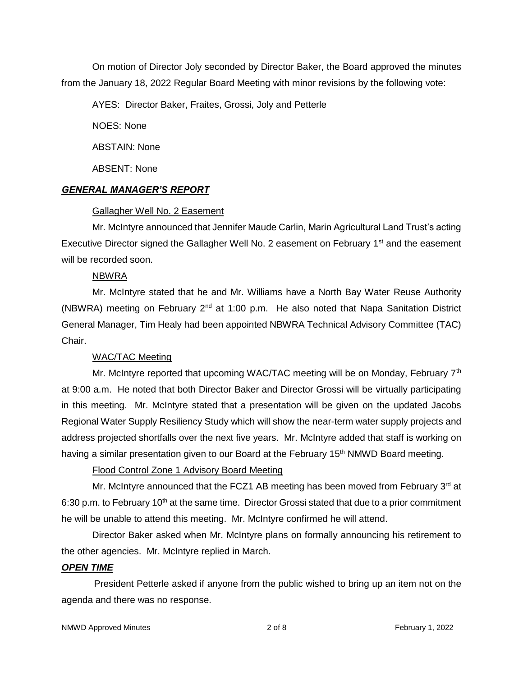On motion of Director Joly seconded by Director Baker, the Board approved the minutes from the January 18, 2022 Regular Board Meeting with minor revisions by the following vote:

AYES: Director Baker, Fraites, Grossi, Joly and Petterle

NOES: None

ABSTAIN: None

ABSENT: None

## *GENERAL MANAGER'S REPORT*

#### Gallagher Well No. 2 Easement

Mr. McIntyre announced that Jennifer Maude Carlin, Marin Agricultural Land Trust's acting Executive Director signed the Gallagher Well No. 2 easement on February 1<sup>st</sup> and the easement will be recorded soon.

#### NBWRA

Mr. McIntyre stated that he and Mr. Williams have a North Bay Water Reuse Authority (NBWRA) meeting on February  $2^{nd}$  at 1:00 p.m. He also noted that Napa Sanitation District General Manager, Tim Healy had been appointed NBWRA Technical Advisory Committee (TAC) Chair.

## WAC/TAC Meeting

Mr. McIntyre reported that upcoming WAC/TAC meeting will be on Monday, February  $7<sup>th</sup>$ at 9:00 a.m. He noted that both Director Baker and Director Grossi will be virtually participating in this meeting. Mr. McIntyre stated that a presentation will be given on the updated Jacobs Regional Water Supply Resiliency Study which will show the near-term water supply projects and address projected shortfalls over the next five years. Mr. McIntyre added that staff is working on having a similar presentation given to our Board at the February 15<sup>th</sup> NMWD Board meeting.

Flood Control Zone 1 Advisory Board Meeting

Mr. McIntyre announced that the FCZ1 AB meeting has been moved from February  $3<sup>rd</sup>$  at 6:30 p.m. to February 10<sup>th</sup> at the same time. Director Grossi stated that due to a prior commitment he will be unable to attend this meeting. Mr. McIntyre confirmed he will attend.

Director Baker asked when Mr. McIntyre plans on formally announcing his retirement to the other agencies. Mr. McIntyre replied in March.

## *OPEN TIME*

President Petterle asked if anyone from the public wished to bring up an item not on the agenda and there was no response.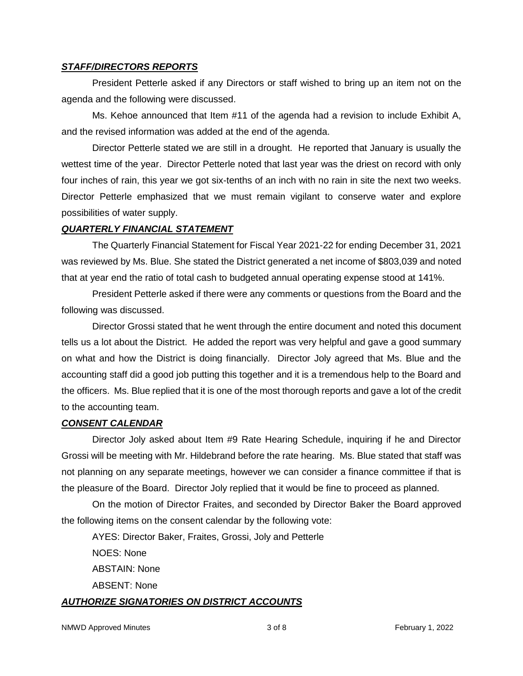#### *STAFF/DIRECTORS REPORTS*

President Petterle asked if any Directors or staff wished to bring up an item not on the agenda and the following were discussed.

Ms. Kehoe announced that Item #11 of the agenda had a revision to include Exhibit A, and the revised information was added at the end of the agenda.

Director Petterle stated we are still in a drought. He reported that January is usually the wettest time of the year. Director Petterle noted that last year was the driest on record with only four inches of rain, this year we got six-tenths of an inch with no rain in site the next two weeks. Director Petterle emphasized that we must remain vigilant to conserve water and explore possibilities of water supply.

#### *QUARTERLY FINANCIAL STATEMENT*

The Quarterly Financial Statement for Fiscal Year 2021-22 for ending December 31, 2021 was reviewed by Ms. Blue. She stated the District generated a net income of \$803,039 and noted that at year end the ratio of total cash to budgeted annual operating expense stood at 141%.

President Petterle asked if there were any comments or questions from the Board and the following was discussed.

Director Grossi stated that he went through the entire document and noted this document tells us a lot about the District. He added the report was very helpful and gave a good summary on what and how the District is doing financially. Director Joly agreed that Ms. Blue and the accounting staff did a good job putting this together and it is a tremendous help to the Board and the officers. Ms. Blue replied that it is one of the most thorough reports and gave a lot of the credit to the accounting team.

#### *CONSENT CALENDAR*

Director Joly asked about Item #9 Rate Hearing Schedule, inquiring if he and Director Grossi will be meeting with Mr. Hildebrand before the rate hearing. Ms. Blue stated that staff was not planning on any separate meetings, however we can consider a finance committee if that is the pleasure of the Board. Director Joly replied that it would be fine to proceed as planned.

On the motion of Director Fraites, and seconded by Director Baker the Board approved the following items on the consent calendar by the following vote:

AYES: Director Baker, Fraites, Grossi, Joly and Petterle NOES: None ABSTAIN: None ABSENT: None

#### *AUTHORIZE SIGNATORIES ON DISTRICT ACCOUNTS*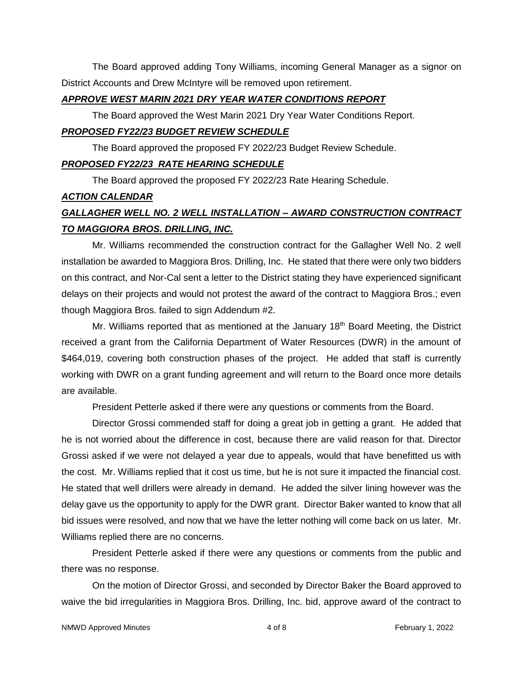The Board approved adding Tony Williams, incoming General Manager as a signor on District Accounts and Drew McIntyre will be removed upon retirement.

#### *APPROVE WEST MARIN 2021 DRY YEAR WATER CONDITIONS REPORT*

The Board approved the West Marin 2021 Dry Year Water Conditions Report.

## *PROPOSED FY22/23 BUDGET REVIEW SCHEDULE*

The Board approved the proposed FY 2022/23 Budget Review Schedule.

## *PROPOSED FY22/23 RATE HEARING SCHEDULE*

The Board approved the proposed FY 2022/23 Rate Hearing Schedule.

## *ACTION CALENDAR*

# *GALLAGHER WELL NO. 2 WELL INSTALLATION – AWARD CONSTRUCTION CONTRACT TO MAGGIORA BROS. DRILLING, INC.*

Mr. Williams recommended the construction contract for the Gallagher Well No. 2 well installation be awarded to Maggiora Bros. Drilling, Inc. He stated that there were only two bidders on this contract, and Nor-Cal sent a letter to the District stating they have experienced significant delays on their projects and would not protest the award of the contract to Maggiora Bros.; even though Maggiora Bros. failed to sign Addendum #2.

Mr. Williams reported that as mentioned at the January 18<sup>th</sup> Board Meeting, the District received a grant from the California Department of Water Resources (DWR) in the amount of \$464,019, covering both construction phases of the project. He added that staff is currently working with DWR on a grant funding agreement and will return to the Board once more details are available.

President Petterle asked if there were any questions or comments from the Board.

Director Grossi commended staff for doing a great job in getting a grant. He added that he is not worried about the difference in cost, because there are valid reason for that. Director Grossi asked if we were not delayed a year due to appeals, would that have benefitted us with the cost. Mr. Williams replied that it cost us time, but he is not sure it impacted the financial cost. He stated that well drillers were already in demand. He added the silver lining however was the delay gave us the opportunity to apply for the DWR grant. Director Baker wanted to know that all bid issues were resolved, and now that we have the letter nothing will come back on us later. Mr. Williams replied there are no concerns.

President Petterle asked if there were any questions or comments from the public and there was no response.

On the motion of Director Grossi, and seconded by Director Baker the Board approved to waive the bid irregularities in Maggiora Bros. Drilling, Inc. bid, approve award of the contract to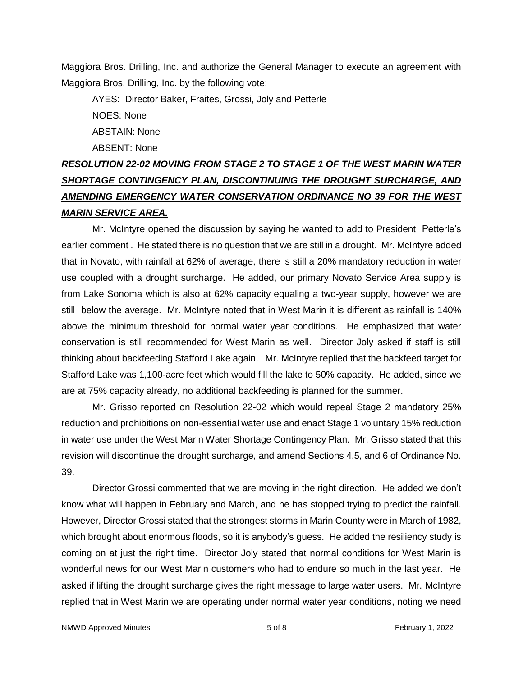Maggiora Bros. Drilling, Inc. and authorize the General Manager to execute an agreement with Maggiora Bros. Drilling, Inc. by the following vote:

AYES: Director Baker, Fraites, Grossi, Joly and Petterle NOES: None ABSTAIN: None ABSENT: None

# *RESOLUTION 22-02 MOVING FROM STAGE 2 TO STAGE 1 OF THE WEST MARIN WATER SHORTAGE CONTINGENCY PLAN, DISCONTINUING THE DROUGHT SURCHARGE, AND AMENDING EMERGENCY WATER CONSERVATION ORDINANCE NO 39 FOR THE WEST MARIN SERVICE AREA.*

Mr. McIntyre opened the discussion by saying he wanted to add to President Petterle's earlier comment . He stated there is no question that we are still in a drought. Mr. McIntyre added that in Novato, with rainfall at 62% of average, there is still a 20% mandatory reduction in water use coupled with a drought surcharge. He added, our primary Novato Service Area supply is from Lake Sonoma which is also at 62% capacity equaling a two-year supply, however we are still below the average. Mr. McIntyre noted that in West Marin it is different as rainfall is 140% above the minimum threshold for normal water year conditions. He emphasized that water conservation is still recommended for West Marin as well. Director Joly asked if staff is still thinking about backfeeding Stafford Lake again. Mr. McIntyre replied that the backfeed target for Stafford Lake was 1,100-acre feet which would fill the lake to 50% capacity. He added, since we are at 75% capacity already, no additional backfeeding is planned for the summer.

Mr. Grisso reported on Resolution 22-02 which would repeal Stage 2 mandatory 25% reduction and prohibitions on non-essential water use and enact Stage 1 voluntary 15% reduction in water use under the West Marin Water Shortage Contingency Plan. Mr. Grisso stated that this revision will discontinue the drought surcharge, and amend Sections 4,5, and 6 of Ordinance No. 39.

Director Grossi commented that we are moving in the right direction. He added we don't know what will happen in February and March, and he has stopped trying to predict the rainfall. However, Director Grossi stated that the strongest storms in Marin County were in March of 1982, which brought about enormous floods, so it is anybody's guess. He added the resiliency study is coming on at just the right time. Director Joly stated that normal conditions for West Marin is wonderful news for our West Marin customers who had to endure so much in the last year. He asked if lifting the drought surcharge gives the right message to large water users. Mr. McIntyre replied that in West Marin we are operating under normal water year conditions, noting we need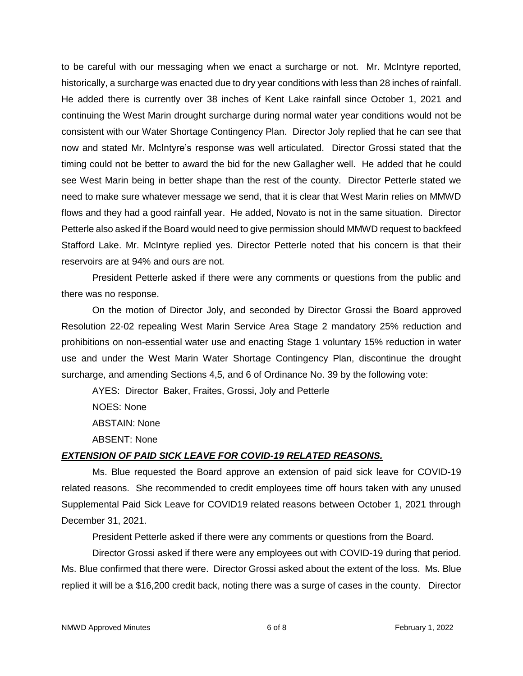to be careful with our messaging when we enact a surcharge or not. Mr. McIntyre reported, historically, a surcharge was enacted due to dry year conditions with less than 28 inches of rainfall. He added there is currently over 38 inches of Kent Lake rainfall since October 1, 2021 and continuing the West Marin drought surcharge during normal water year conditions would not be consistent with our Water Shortage Contingency Plan. Director Joly replied that he can see that now and stated Mr. McIntyre's response was well articulated. Director Grossi stated that the timing could not be better to award the bid for the new Gallagher well. He added that he could see West Marin being in better shape than the rest of the county. Director Petterle stated we need to make sure whatever message we send, that it is clear that West Marin relies on MMWD flows and they had a good rainfall year. He added, Novato is not in the same situation. Director Petterle also asked if the Board would need to give permission should MMWD request to backfeed Stafford Lake. Mr. McIntyre replied yes. Director Petterle noted that his concern is that their reservoirs are at 94% and ours are not.

President Petterle asked if there were any comments or questions from the public and there was no response.

On the motion of Director Joly, and seconded by Director Grossi the Board approved Resolution 22-02 repealing West Marin Service Area Stage 2 mandatory 25% reduction and prohibitions on non-essential water use and enacting Stage 1 voluntary 15% reduction in water use and under the West Marin Water Shortage Contingency Plan, discontinue the drought surcharge, and amending Sections 4,5, and 6 of Ordinance No. 39 by the following vote:

AYES: Director Baker, Fraites, Grossi, Joly and Petterle

NOES: None ABSTAIN: None ABSENT: None

## *EXTENSION OF PAID SICK LEAVE FOR COVID-19 RELATED REASONS.*

Ms. Blue requested the Board approve an extension of paid sick leave for COVID-19 related reasons. She recommended to credit employees time off hours taken with any unused Supplemental Paid Sick Leave for COVID19 related reasons between October 1, 2021 through December 31, 2021.

President Petterle asked if there were any comments or questions from the Board.

Director Grossi asked if there were any employees out with COVID-19 during that period. Ms. Blue confirmed that there were. Director Grossi asked about the extent of the loss. Ms. Blue replied it will be a \$16,200 credit back, noting there was a surge of cases in the county. Director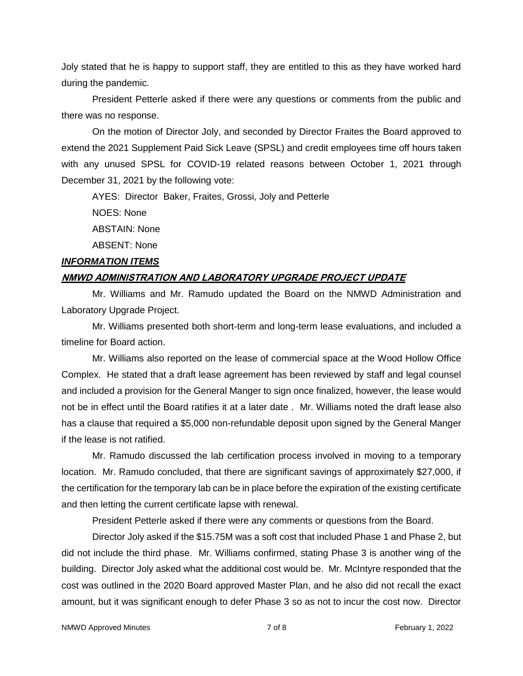Joly stated that he is happy to support staff, they are entitled to this as they have worked hard during the pandemic.

President Petterle asked if there were any questions or comments from the public and there was no response.

On the motion of Director Joly, and seconded by Director Fraites the Board approved to extend the 2021 Supplement Paid Sick Leave (SPSL) and credit employees time off hours taken with any unused SPSL for COVID-19 related reasons between October 1, 2021 through December 31, 2021 by the following vote:

AYES: Director Baker, Fraites, Grossi, Joly and Petterle

NOES: None

ABSTAIN: None

ABSENT: None

#### *INFORMATION ITEMS*

#### **NMWD ADMINISTRATION AND LABORATORY UPGRADE PROJECT UPDATE**

Mr. Williams and Mr. Ramudo updated the Board on the NMWD Administration and Laboratory Upgrade Project.

Mr. Williams presented both short-term and long-term lease evaluations, and included a timeline for Board action.

Mr. Williams also reported on the lease of commercial space at the Wood Hollow Office Complex. He stated that a draft lease agreement has been reviewed by staff and legal counsel and included a provision for the General Manger to sign once finalized, however, the lease would not be in effect until the Board ratifies it at a later date . Mr. Williams noted the draft lease also has a clause that required a \$5,000 non-refundable deposit upon signed by the General Manger if the lease is not ratified.

Mr. Ramudo discussed the lab certification process involved in moving to a temporary location. Mr. Ramudo concluded, that there are significant savings of approximately \$27,000, if the certification for the temporary lab can be in place before the expiration of the existing certificate and then letting the current certificate lapse with renewal.

President Petterle asked if there were any comments or questions from the Board.

Director Joly asked if the \$15.75M was a soft cost that included Phase 1 and Phase 2, but did not include the third phase. Mr. Williams confirmed, stating Phase 3 is another wing of the building. Director Joly asked what the additional cost would be. Mr. McIntyre responded that the cost was outlined in the 2020 Board approved Master Plan, and he also did not recall the exact amount, but it was significant enough to defer Phase 3 so as not to incur the cost now. Director